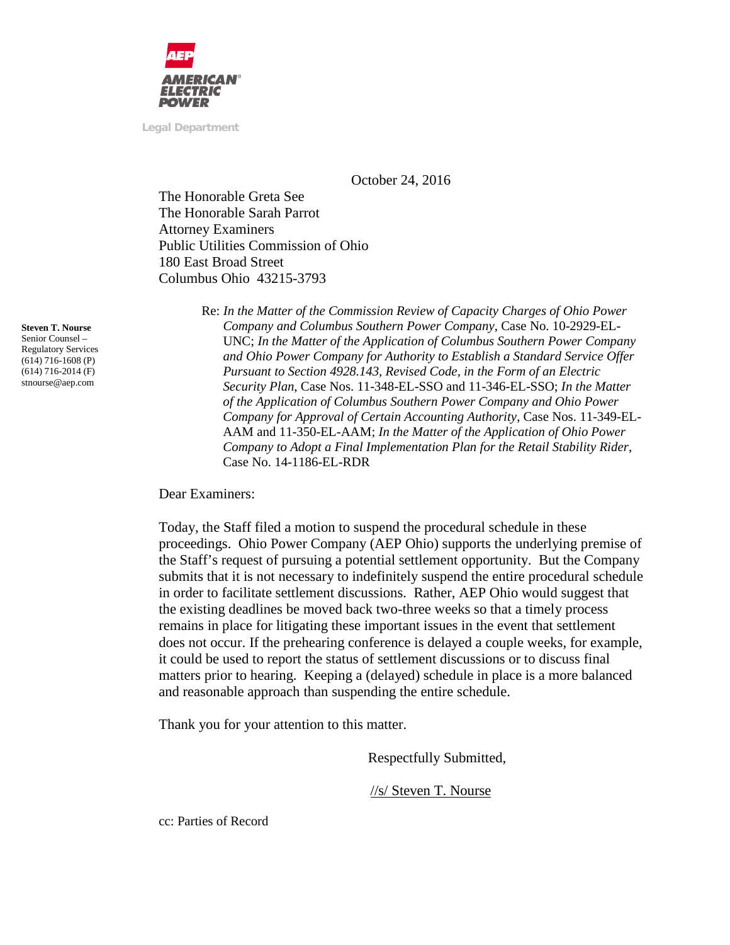

**Legal Department**

October 24, 2016

The Honorable Greta See The Honorable Sarah Parrot Attorney Examiners Public Utilities Commission of Ohio 180 East Broad Street Columbus Ohio 43215-3793

> Re: *In the Matter of the Commission Review of Capacity Charges of Ohio Power Company and Columbus Southern Power Company*, Case No. 10-2929-EL-UNC; *In the Matter of the Application of Columbus Southern Power Company and Ohio Power Company for Authority to Establish a Standard Service Offer Pursuant to Section 4928.143, Revised Code, in the Form of an Electric Security Plan*, Case Nos. 11-348-EL-SSO and 11-346-EL-SSO; *In the Matter of the Application of Columbus Southern Power Company and Ohio Power Company for Approval of Certain Accounting Authority*, Case Nos. 11-349-EL-AAM and 11-350-EL-AAM; *In the Matter of the Application of Ohio Power Company to Adopt a Final Implementation Plan for the Retail Stability Rider*, Case No. 14-1186-EL-RDR

Dear Examiners:

Today, the Staff filed a motion to suspend the procedural schedule in these proceedings. Ohio Power Company (AEP Ohio) supports the underlying premise of the Staff's request of pursuing a potential settlement opportunity. But the Company submits that it is not necessary to indefinitely suspend the entire procedural schedule in order to facilitate settlement discussions. Rather, AEP Ohio would suggest that the existing deadlines be moved back two-three weeks so that a timely process remains in place for litigating these important issues in the event that settlement does not occur. If the prehearing conference is delayed a couple weeks, for example, it could be used to report the status of settlement discussions or to discuss final matters prior to hearing. Keeping a (delayed) schedule in place is a more balanced and reasonable approach than suspending the entire schedule.

Thank you for your attention to this matter.

Respectfully Submitted,

//s/ Steven T. Nourse

**Steven T. Nourse** Senior Counsel – Regulatory Services  $(614)$  716-1608 (P) (614) 716-2014 (F) stnourse@aep.com

cc: Parties of Record